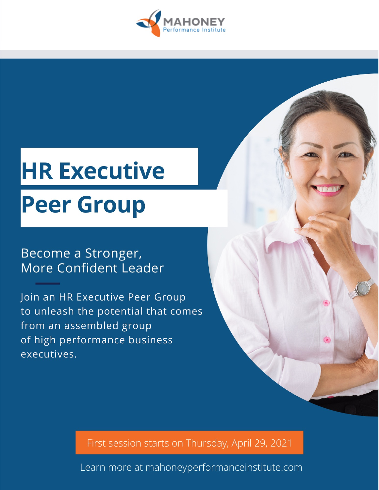

# **HR Executive Peer Group**

# Become a Stronger, More Confident Leader

Join an HR Executive Peer Group to unleash the potential that comes from an assembled group of high performance business executives.

First session starts on Thursday, April 29, 2021

Learn more at mahoneyperformanceinstitute.com